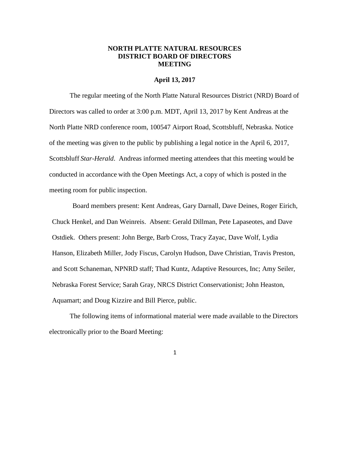## **NORTH PLATTE NATURAL RESOURCES DISTRICT BOARD OF DIRECTORS MEETING**

#### **April 13, 2017**

The regular meeting of the North Platte Natural Resources District (NRD) Board of Directors was called to order at 3:00 p.m. MDT, April 13, 2017 by Kent Andreas at the North Platte NRD conference room, 100547 Airport Road, Scottsbluff, Nebraska. Notice of the meeting was given to the public by publishing a legal notice in the April 6, 2017, Scottsbluff *Star-Herald*. Andreas informed meeting attendees that this meeting would be conducted in accordance with the Open Meetings Act, a copy of which is posted in the meeting room for public inspection.

Board members present: Kent Andreas, Gary Darnall, Dave Deines, Roger Eirich, Chuck Henkel, and Dan Weinreis. Absent: Gerald Dillman, Pete Lapaseotes, and Dave Ostdiek. Others present: John Berge, Barb Cross, Tracy Zayac, Dave Wolf, Lydia Hanson, Elizabeth Miller, Jody Fiscus, Carolyn Hudson, Dave Christian, Travis Preston, and Scott Schaneman, NPNRD staff; Thad Kuntz, Adaptive Resources, Inc; Amy Seiler, Nebraska Forest Service; Sarah Gray, NRCS District Conservationist; John Heaston, Aquamart; and Doug Kizzire and Bill Pierce, public.

The following items of informational material were made available to the Directors electronically prior to the Board Meeting: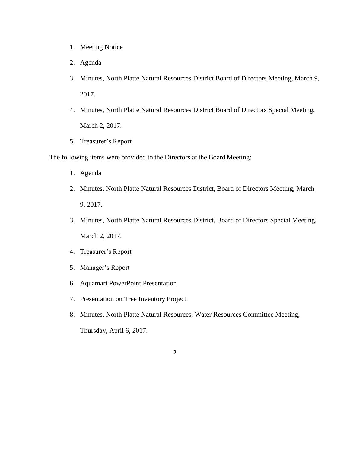- 1. Meeting Notice
- 2. Agenda
- 3. Minutes, North Platte Natural Resources District Board of Directors Meeting, March 9, 2017.
- 4. Minutes, North Platte Natural Resources District Board of Directors Special Meeting, March 2, 2017.
- 5. Treasurer's Report

The following items were provided to the Directors at the Board Meeting:

- 1. Agenda
- 2. Minutes, North Platte Natural Resources District, Board of Directors Meeting, March 9, 2017.
- 3. Minutes, North Platte Natural Resources District, Board of Directors Special Meeting, March 2, 2017.
- 4. Treasurer's Report
- 5. Manager's Report
- 6. Aquamart PowerPoint Presentation
- 7. Presentation on Tree Inventory Project
- 8. Minutes, North Platte Natural Resources, Water Resources Committee Meeting, Thursday, April 6, 2017.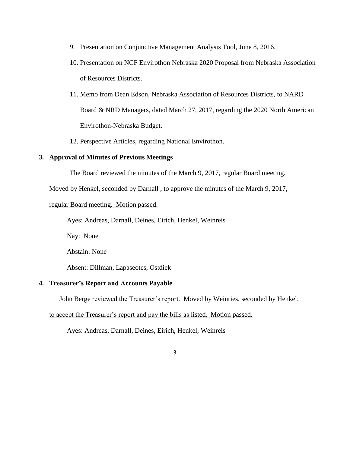- 9. Presentation on Conjunctive Management Analysis Tool, June 8, 2016.
- 10. Presentation on NCF Envirothon Nebraska 2020 Proposal from Nebraska Association of Resources Districts.
- 11. Memo from Dean Edson, Nebraska Association of Resources Districts, to NARD Board & NRD Managers, dated March 27, 2017, regarding the 2020 North American Envirothon-Nebraska Budget.
- 12. Perspective Articles, regarding National Envirothon.

## **3. Approval of Minutes of Previous Meetings**

The Board reviewed the minutes of the March 9, 2017, regular Board meeting.

Moved by Henkel, seconded by Darnall , to approve the minutes of the March 9, 2017,

regular Board meeting. Motion passed.

Ayes: Andreas, Darnall, Deines, Eirich, Henkel, Weinreis

Nay: None

Abstain: None

Absent: Dillman, Lapaseotes, Ostdiek

## **4. Treasurer's Report and Accounts Payable**

John Berge reviewed the Treasurer's report. Moved by Weinries, seconded by Henkel,

to accept the Treasurer's report and pay the bills as listed. Motion passed.

Ayes: Andreas, Darnall, Deines, Eirich, Henkel, Weinreis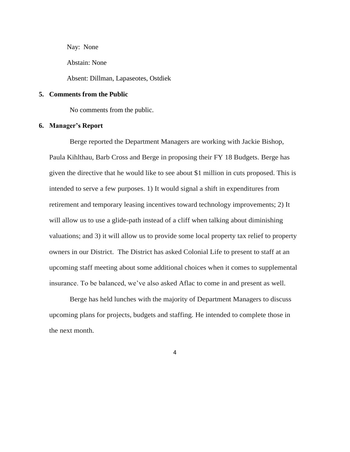Nay: None

Abstain: None

Absent: Dillman, Lapaseotes, Ostdiek

## **5. Comments from the Public**

No comments from the public.

## **6. Manager's Report**

Berge reported the Department Managers are working with Jackie Bishop, Paula Kihlthau, Barb Cross and Berge in proposing their FY 18 Budgets. Berge has given the directive that he would like to see about \$1 million in cuts proposed. This is intended to serve a few purposes. 1) It would signal a shift in expenditures from retirement and temporary leasing incentives toward technology improvements; 2) It will allow us to use a glide-path instead of a cliff when talking about diminishing valuations; and 3) it will allow us to provide some local property tax relief to property owners in our District. The District has asked Colonial Life to present to staff at an upcoming staff meeting about some additional choices when it comes to supplemental insurance. To be balanced, we've also asked Aflac to come in and present as well.

Berge has held lunches with the majority of Department Managers to discuss upcoming plans for projects, budgets and staffing. He intended to complete those in the next month.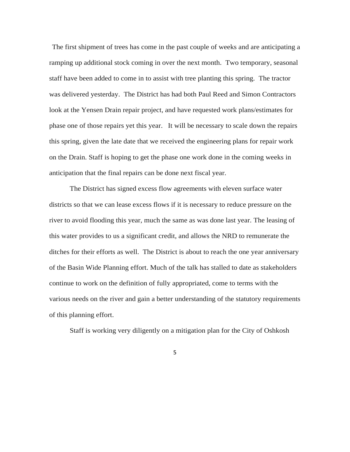The first shipment of trees has come in the past couple of weeks and are anticipating a ramping up additional stock coming in over the next month. Two temporary, seasonal staff have been added to come in to assist with tree planting this spring. The tractor was delivered yesterday. The District has had both Paul Reed and Simon Contractors look at the Yensen Drain repair project, and have requested work plans/estimates for phase one of those repairs yet this year. It will be necessary to scale down the repairs this spring, given the late date that we received the engineering plans for repair work on the Drain. Staff is hoping to get the phase one work done in the coming weeks in anticipation that the final repairs can be done next fiscal year.

The District has signed excess flow agreements with eleven surface water districts so that we can lease excess flows if it is necessary to reduce pressure on the river to avoid flooding this year, much the same as was done last year. The leasing of this water provides to us a significant credit, and allows the NRD to remunerate the ditches for their efforts as well. The District is about to reach the one year anniversary of the Basin Wide Planning effort. Much of the talk has stalled to date as stakeholders continue to work on the definition of fully appropriated, come to terms with the various needs on the river and gain a better understanding of the statutory requirements of this planning effort.

Staff is working very diligently on a mitigation plan for the City of Oshkosh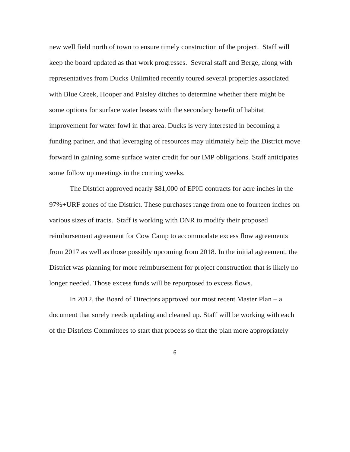new well field north of town to ensure timely construction of the project. Staff will keep the board updated as that work progresses. Several staff and Berge, along with representatives from Ducks Unlimited recently toured several properties associated with Blue Creek, Hooper and Paisley ditches to determine whether there might be some options for surface water leases with the secondary benefit of habitat improvement for water fowl in that area. Ducks is very interested in becoming a funding partner, and that leveraging of resources may ultimately help the District move forward in gaining some surface water credit for our IMP obligations. Staff anticipates some follow up meetings in the coming weeks.

The District approved nearly \$81,000 of EPIC contracts for acre inches in the 97%+URF zones of the District. These purchases range from one to fourteen inches on various sizes of tracts. Staff is working with DNR to modify their proposed reimbursement agreement for Cow Camp to accommodate excess flow agreements from 2017 as well as those possibly upcoming from 2018. In the initial agreement, the District was planning for more reimbursement for project construction that is likely no longer needed. Those excess funds will be repurposed to excess flows.

In 2012, the Board of Directors approved our most recent Master Plan – a document that sorely needs updating and cleaned up. Staff will be working with each of the Districts Committees to start that process so that the plan more appropriately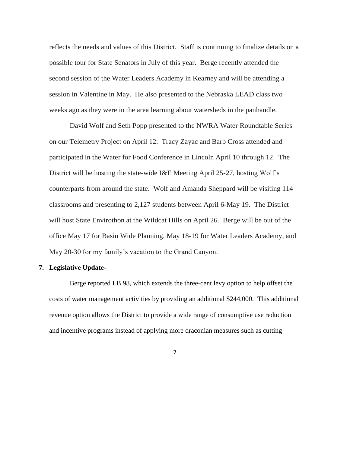reflects the needs and values of this District. Staff is continuing to finalize details on a possible tour for State Senators in July of this year. Berge recently attended the second session of the Water Leaders Academy in Kearney and will be attending a session in Valentine in May. He also presented to the Nebraska LEAD class two weeks ago as they were in the area learning about watersheds in the panhandle.

David Wolf and Seth Popp presented to the NWRA Water Roundtable Series on our Telemetry Project on April 12. Tracy Zayac and Barb Cross attended and participated in the Water for Food Conference in Lincoln April 10 through 12. The District will be hosting the state-wide I&E Meeting April 25-27, hosting Wolf's counterparts from around the state. Wolf and Amanda Sheppard will be visiting 114 classrooms and presenting to 2,127 students between April 6-May 19. The District will host State Envirothon at the Wildcat Hills on April 26. Berge will be out of the office May 17 for Basin Wide Planning, May 18-19 for Water Leaders Academy, and May 20-30 for my family's vacation to the Grand Canyon.

## **7. Legislative Update-**

Berge reported LB 98, which extends the three-cent levy option to help offset the costs of water management activities by providing an additional \$244,000. This additional revenue option allows the District to provide a wide range of consumptive use reduction and incentive programs instead of applying more draconian measures such as cutting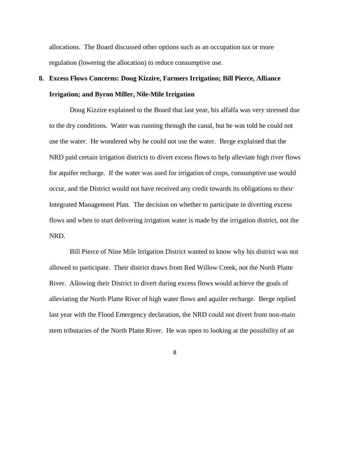allocations. The Board discussed other options such as an occupation tax or more regulation (lowering the allocation) to reduce consumptive use.

# **8. Excess Flows Concerns: Doug Kizzire, Farmers Irrigation; Bill Pierce, Alliance Irrigation; and Byron Miller, Nile-Mile Irrigation**

Doug Kizzire explained to the Board that last year, his alfalfa was very stressed due to the dry conditions. Water was running through the canal, but he was told he could not use the water. He wondered why he could not use the water. Berge explained that the NRD paid certain irrigation districts to divert excess flows to help alleviate high river flows for aquifer recharge. If the water was used for irrigation of crops, consumptive use would occur, and the District would not have received any credit towards its obligations to their Integrated Management Plan. The decision on whether to participate in diverting excess flows and when to start delivering irrigation water is made by the irrigation district, not the NRD.

Bill Pierce of Nine Mile Irrigation District wanted to know why his district was not allowed to participate. Their district draws from Red Willow Creek, not the North Platte River. Allowing their District to divert during excess flows would achieve the goals of alleviating the North Platte River of high water flows and aquifer recharge. Berge replied last year with the Flood Emergency declaration, the NRD could not divert from non-main stem tributaries of the North Platte River. He was open to looking at the possibility of an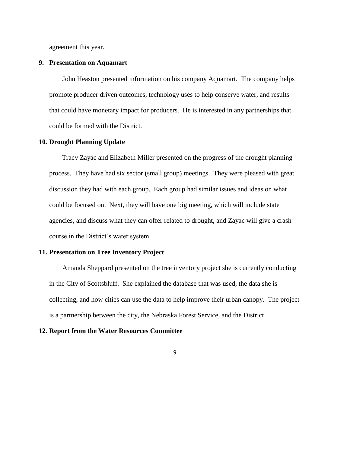agreement this year.

## **9. Presentation on Aquamart**

John Heaston presented information on his company Aquamart. The company helps promote producer driven outcomes, technology uses to help conserve water, and results that could have monetary impact for producers. He is interested in any partnerships that could be formed with the District.

#### **10. Drought Planning Update**

Tracy Zayac and Elizabeth Miller presented on the progress of the drought planning process. They have had six sector (small group) meetings. They were pleased with great discussion they had with each group. Each group had similar issues and ideas on what could be focused on. Next, they will have one big meeting, which will include state agencies, and discuss what they can offer related to drought, and Zayac will give a crash course in the District's water system.

## **11. Presentation on Tree Inventory Project**

Amanda Sheppard presented on the tree inventory project she is currently conducting in the City of Scottsbluff. She explained the database that was used, the data she is collecting, and how cities can use the data to help improve their urban canopy. The project is a partnership between the city, the Nebraska Forest Service, and the District.

#### **12. Report from the Water Resources Committee**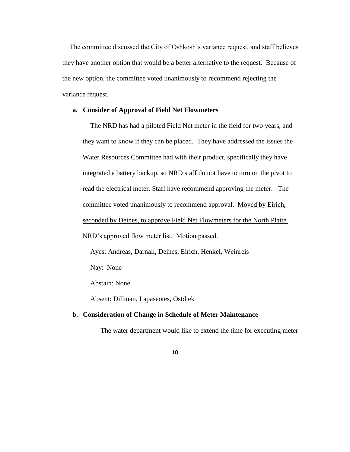The committee discussed the City of Oshkosh's variance request, and staff believes they have another option that would be a better alternative to the request. Because of the new option, the committee voted unanimously to recommend rejecting the variance request.

#### **a. Consider of Approval of Field Net Flowmeters**

The NRD has had a piloted Field Net meter in the field for two years, and they want to know if they can be placed. They have addressed the issues the Water Resources Committee had with their product, specifically they have integrated a battery backup, so NRD staff do not have to turn on the pivot to read the electrical meter. Staff have recommend approving the meter. The committee voted unanimously to recommend approval. Moved by Eirich, seconded by Deines, to approve Field Net Flowmeters for the North Platte NRD's approved flow meter list. Motion passed.

Ayes: Andreas, Darnall, Deines, Eirich, Henkel, Weinreis

Nay: None

Abstain: None

Absent: Dillman, Lapaseotes, Ostdiek

## **b. Consideration of Change in Schedule of Meter Maintenance**

The water department would like to extend the time for executing meter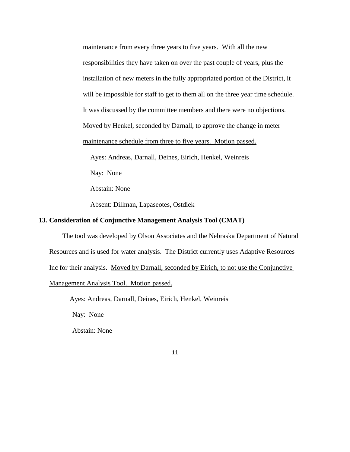maintenance from every three years to five years. With all the new responsibilities they have taken on over the past couple of years, plus the installation of new meters in the fully appropriated portion of the District, it will be impossible for staff to get to them all on the three year time schedule. It was discussed by the committee members and there were no objections. Moved by Henkel, seconded by Darnall, to approve the change in meter maintenance schedule from three to five years. Motion passed. Ayes: Andreas, Darnall, Deines, Eirich, Henkel, Weinreis Nay: None

Abstain: None

Absent: Dillman, Lapaseotes, Ostdiek

# **13. Consideration of Conjunctive Management Analysis Tool (CMAT)**

The tool was developed by Olson Associates and the Nebraska Department of Natural Resources and is used for water analysis. The District currently uses Adaptive Resources Inc for their analysis. Moved by Darnall, seconded by Eirich, to not use the Conjunctive Management Analysis Tool. Motion passed.

Ayes: Andreas, Darnall, Deines, Eirich, Henkel, Weinreis

Nay: None

Abstain: None